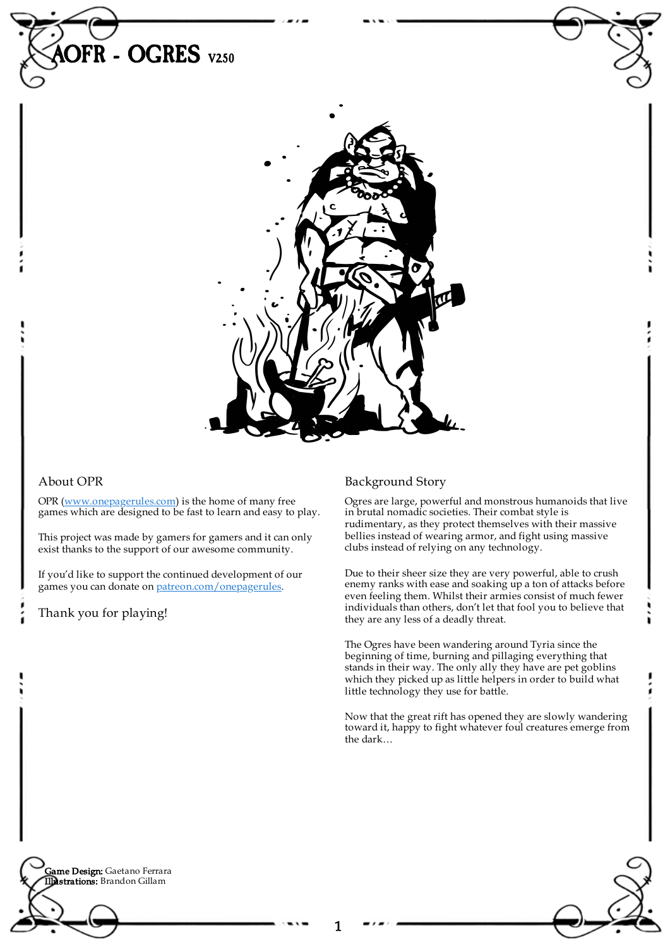

## About OPR

OPR [\(www.onepagerules.com](https://webapp.onepagerules.com/army-books/view/lpRj9EBwROpO1um7~6/https//www.onepagerules.com)) is the home of many free games which are designed to be fast to learn and easy to play.

This project was made by gamers for gamers and it can only exist thanks to the support of our awesome community.

If you'd like to support the continued development of our games you can donate on [patreon.com/onepagerules](https://www.patreon.com/onepagerules).

Thank you for playing!

# Background Story

Ogres are large, powerful and monstrous humanoids that live in brutal nomadic societies. Their combat style is rudimentary, as they protect themselves with their massive bellies instead of wearing armor, and fight using massive clubs instead of relying on any technology.

Due to their sheer size they are very powerful, able to crush enemy ranks with ease and soaking up a ton of attacks before even feeling them. Whilst their armies consist of much fewer individuals than others, don't let that fool you to believe that they are any less of a deadly threat.

The Ogres have been wandering around Tyria since the beginning of time, burning and pillaging everything that stands in their way. The only ally they have are pet goblins which they picked up as little helpers in order to build what little technology they use for battle.

Now that the great rift has opened they are slowly wandering toward it, happy to fight whatever foul creatures emerge from the dark…

**Game Design:** Gaetano Ferrara Illustrations: Brandon Gillam

1